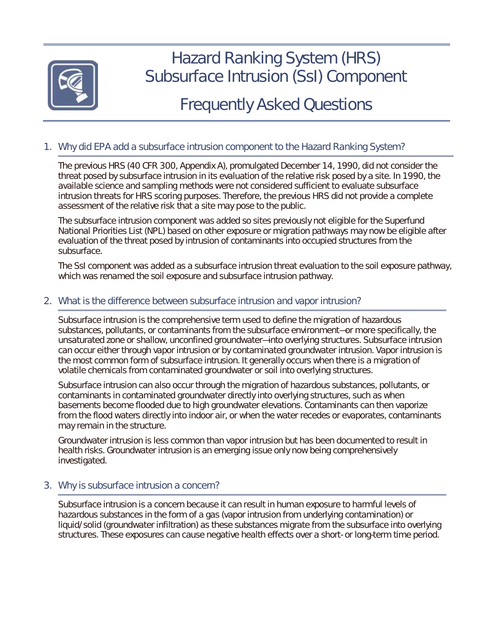

# Hazard Ranking System (HRS) Subsurface Intrusion (SsI) Component

# Frequently Asked Questions

# 1. Why did EPA add a subsurface intrusion component to the Hazard Ranking System?

 threat posed by subsurface intrusion in its evaluation of the relative risk posed by a site. In 1990, the intrusion threats for HRS scoring purposes. Therefore, the previous HRS did not provide a complete The previous HRS (40 CFR 300, Appendix A), promulgated December 14, 1990, did not consider the available science and sampling methods were not considered sufficient to evaluate subsurface assessment of the relative risk that a site may pose to the public.

 The subsurface intrusion component was added so sites previously not eligible for the Superfund evaluation of the threat posed by intrusion of contaminants into occupied structures from the National Priorities List (NPL) based on other exposure or migration pathways may now be eligible after subsurface.

 The SsI component was added as a subsurface intrusion threat evaluation to the soil exposure pathway, which was renamed the soil exposure and subsurface intrusion pathway.

# 2. What is the difference between subsurface intrusion and vapor intrusion?

 can occur either through vapor intrusion or by contaminated groundwater intrusion. Vapor intrusion is the most common form of subsurface intrusion. It generally occurs when there is a migration of Subsurface intrusion is the comprehensive term used to define the migration of hazardous substances, pollutants, or contaminants from the subsurface environment—or more specifically, the unsaturated zone or shallow, unconfined groundwater—into overlying structures. Subsurface intrusion volatile chemicals from contaminated groundwater or soil into overlying structures.

Subsurface intrusion can also occur through the migration of hazardous substances, pollutants, or contaminants in contaminated groundwater directly into overlying structures, such as when basements become flooded due to high groundwater elevations. Contaminants can then vaporize from the flood waters directly into indoor air, or when the water recedes or evaporates, contaminants may remain in the structure.

 health risks. Groundwater intrusion is an emerging issue only now being comprehensively Groundwater intrusion is less common than vapor intrusion but has been documented to result in investigated.

# 3. Why is subsurface intrusion a concern?

 Subsurface intrusion is a concern because it can result in human exposure to harmful levels of hazardous substances in the form of a gas (vapor intrusion from underlying contamination) or liquid/solid (groundwater infiltration) as these substances migrate from the subsurface into overlying structures. These exposures can cause negative health effects over a short- or long-term time period.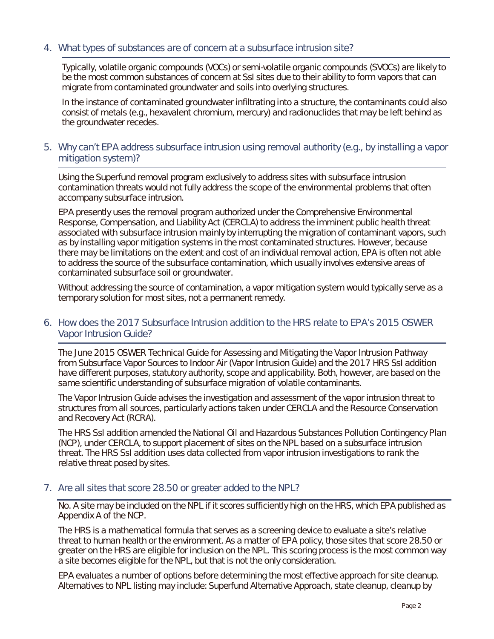# 4. What types of substances are of concern at a subsurface intrusion site?

 Typically, volatile organic compounds (VOCs) or semi-volatile organic compounds (SVOCs) are likely to be the most common substances of concern at SsI sites due to their ability to form vapors that can migrate from contaminated groundwater and soils into overlying structures.

 In the instance of contaminated groundwater infiltrating into a structure, the contaminants could also consist of metals (e.g., hexavalent chromium, mercury) and radionuclides that may be left behind as the groundwater recedes.

# 5. Why can't EPA address subsurface intrusion using removal authority (e.g., by installing a vapor mitigation system)?

 contamination threats would not fully address the scope of the environmental problems that often Using the Superfund removal program exclusively to address sites with subsurface intrusion accompany subsurface intrusion.

 EPA presently uses the removal program authorized under the Comprehensive Environmental Response, Compensation, and Liability Act (CERCLA) to address the imminent public health threat associated with subsurface intrusion mainly by interrupting the migration of contaminant vapors, such as by installing vapor mitigation systems in the most contaminated structures. However, because there may be limitations on the extent and cost of an individual removal action, EPA is often not able to address the source of the subsurface contamination, which usually involves extensive areas of contaminated subsurface soil or groundwater.

Without addressing the source of contamination, a vapor mitigation system would typically serve as a temporary solution for most sites, not a permanent remedy.

# 6. How does the 2017 Subsurface Intrusion addition to the HRS relate to EPA's 2015 OSWER Vapor Intrusion Guide?

 *from Subsurface Vapor Sources to Indoor Air* (Vapor Intrusion Guide) and the 2017 HRS SsI addition have different purposes, statutory authority, scope and applicability. Both, however, are based on the The June 2015 OSWER *Technical Guide for Assessing and Mitigating the Vapor Intrusion Pathway*  same scientific understanding of subsurface migration of volatile contaminants.

 The Vapor Intrusion Guide advises the investigation and assessment of the vapor intrusion threat to structures from all sources, particularly actions taken under CERCLA and the Resource Conservation and Recovery Act (RCRA).

 (NCP), under CERCLA, to support placement of sites on the NPL based on a subsurface intrusion The HRS SsI addition amended the National Oil and Hazardous Substances Pollution Contingency Plan threat. The HRS SsI addition uses data collected from vapor intrusion investigations to rank the relative threat posed by sites.

#### 7. Are all sites that score 28.50 or greater added to the NPL?

 No. A site may be included on the NPL if it scores sufficiently high on the HRS, which EPA published as Appendix A of the NCP.

Appendix A of the NCP.<br>The HRS is a mathematical formula that serves as a screening device to evaluate a site's relative threat to human health or the environment. As a matter of EPA policy, those sites that score 28.50 or greater on the HRS are eligible for inclusion on the NPL. This scoring process is the most common way a site becomes eligible for the NPL, but that is not the only consideration.

a site becomes eligible for the NPL, but that is not the only consideration.<br>EPA evaluates a number of options before determining the most effective approach for site cleanup. Alternatives to NPL listing may include: Superfund Alternative Approach, state cleanup, cleanup by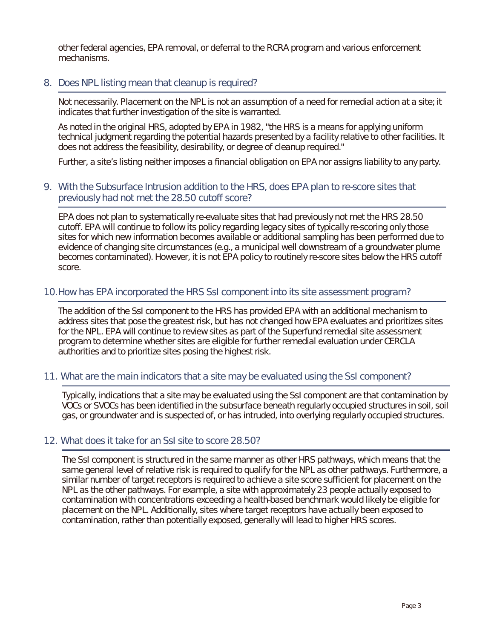other federal agencies, EPA removal, or deferral to the RCRA program and various enforcement mechanisms.

#### 8. Does NPL listing mean that cleanup is required?

 Not necessarily. Placement on the NPL is not an assumption of a need for remedial action at a site; it indicates that further investigation of the site is warranted.

 As noted in the original HRS, adopted by EPA in 1982, "the HRS is a means for applying uniform technical judgment regarding the potential hazards presented by a facility relative to other facilities. It does not address the feasibility, desirability, or degree of cleanup required."

Further, a site's listing neither imposes a financial obligation on EPA nor assigns liability to any party.

#### 9. With the Subsurface Intrusion addition to the HRS, does EPA plan to re-score sites that previously had not met the 28.50 cutoff score?

 sites for which new information becomes available or additional sampling has been performed due to EPA does not plan to systematically re-evaluate sites that had previously not met the HRS 28.50 cutoff. EPA will continue to follow its policy regarding legacy sites of typically re-scoring only those evidence of changing site circumstances (e.g., a municipal well downstream of a groundwater plume becomes contaminated). However, it is not EPA policy to routinely re-score sites below the HRS cutoff score.

# 10.How has EPA incorporated the HRS SsI component into its site assessment program?

 The addition of the SsI component to the HRS has provided EPA with an additional mechanism to address sites that pose the greatest risk, but has not changed how EPA evaluates and prioritizes sites for the NPL. EPA will continue to review sites as part of the Superfund remedial site assessment program to determine whether sites are eligible for further remedial evaluation under CERCLA authorities and to prioritize sites posing the highest risk.

#### 11. What are the main indicators that a site may be evaluated using the SsI component?

 Typically, indications that a site may be evaluated using the SsI component are that contamination by VOCs or SVOCs has been identified in the subsurface beneath regularly occupied structures in soil, soil gas, or groundwater and is suspected of, or has intruded, into overlying regularly occupied structures.

# 12. What does it take for an SsI site to score 28.50?

 The SsI component is structured in the same manner as other HRS pathways, which means that the same general level of relative risk is required to qualify for the NPL as other pathways. Furthermore, a similar number of target receptors is required to achieve a site score sufficient for placement on the placement on the NPL. Additionally, sites where target receptors have actually been exposed to NPL as the other pathways. For example, a site with approximately 23 people actually exposed to contamination with concentrations exceeding a health-based benchmark would likely be eligible for contamination, rather than potentially exposed, generally will lead to higher HRS scores.